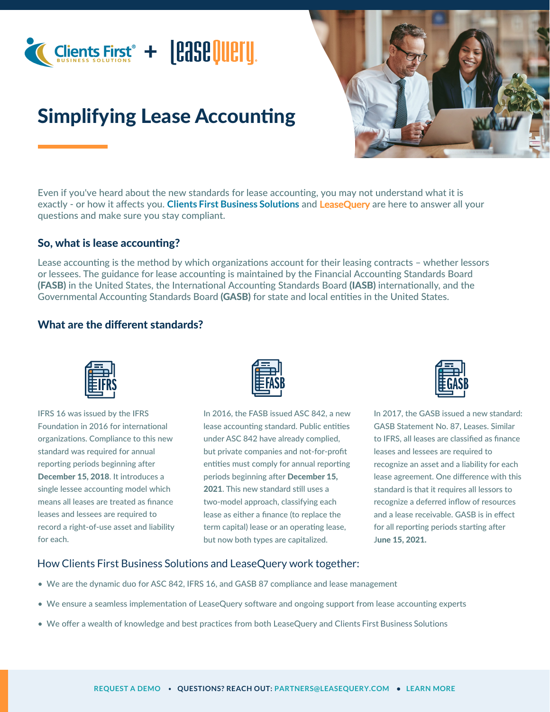

# Simplifying Lease Accounting



Even if you've heard about the new standards for lease accounting, you may not understand what it is exactly - or how it affects you. **Clients First Business Solutions** and LeaseQuery are here to answer all your questions and make sure you stay compliant.

#### So, what is lease accounting?

Lease accounting is the method by which organizations account for their leasing contracts – whether lessors or lessees. The guidance for lease accounting is maintained by the Financial Accounting Standards Board (FASB) in the United States, the International Accounting Standards Board (IASB) internationally, and the Governmental Accounting Standards Board (GASB) for state and local entities in the United States.

### What are the different standards?



IFRS 16 was issued by the IFRS Foundation in 2016 for international organizations. Compliance to this new standard was required for annual reporting periods beginning after December 15, 2018. It introduces a single lessee accounting model which means all leases are treated as finance leases and lessees are required to record a right-of-use asset and liability for each.



In 2016, the FASB issued ASC 842, a new lease accounting standard. Public entities under ASC 842 have already complied, but private companies and not-for-profit entities must comply for annual reporting periods beginning after December 15, 2021. This new standard still uses a two-model approach, classifying each lease as either a finance (to replace the term capital) lease or an operating lease, but now both types are capitalized.



In 2017, the GASB issued a new standard: GASB Statement No. 87, Leases. Similar to IFRS, all leases are classified as finance leases and lessees are required to recognize an asset and a liability for each lease agreement. One difference with this standard is that it requires all lessors to recognize a deferred inflow of resources and a lease receivable. GASB is in effect for all reporting periods starting after June 15, 2021.

#### How Clients First Business Solutions and LeaseQuery work together:

- We are the dynamic duo for ASC 842, IFRS 16, and GASB 87 compliance and lease management
- We ensure a seamless implementation of LeaseQuery software and ongoing support from lease accounting experts
- We offer a wealth of knowledge and best practices from both LeaseQuery and Clients First Business Solutions